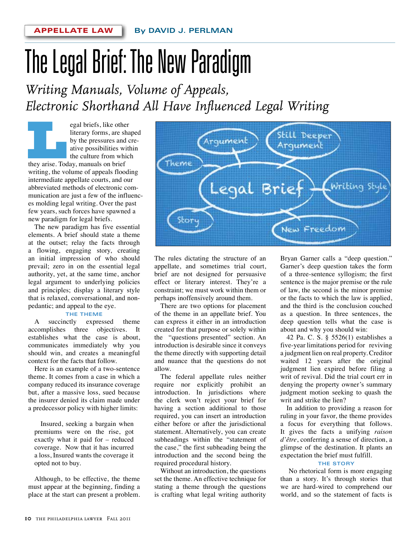# The Legal Brief: The New Paradigm

*Writing Manuals, Volume of Appeals, Electronic Shorthand All Have Influenced Legal Writing*

egal briefs, like other<br>
literary forms, are sha<br>
by the pressures and c<br>
ative possibilities with<br>
the culture from which<br>
they arise. Today, manuals on brief literary forms, are shaped by the pressures and creative possibilities within the culture from which

writing, the volume of appeals flooding intermediate appellate courts, and our abbreviated methods of electronic communication are just a few of the influences molding legal writing. Over the past few years, such forces have spawned a new paradigm for legal briefs.

The new paradigm has five essential elements. A brief should state a theme at the outset; relay the facts through a flowing, engaging story, creating an initial impression of who should prevail; zero in on the essential legal authority, yet, at the same time, anchor legal argument to underlying policies and principles; display a literary style that is relaxed, conversational, and nonpedantic; and appeal to the eye.

#### **THE THEME**

A succinctly expressed theme accomplishes three objectives. It establishes what the case is about, communicates immediately why you should win, and creates a meaningful context for the facts that follow.

Here is an example of a two-sentence theme. It comes from a case in which a company reduced its insurance coverage but, after a massive loss, sued because the insurer denied its claim made under a predecessor policy with higher limits:

Insured, seeking a bargain when premiums were on the rise, got exactly what it paid for – reduced coverage. Now that it has incurred a loss, Insured wants the coverage it opted not to buy.

Although, to be effective, the theme must appear at the beginning, finding a place at the start can present a problem.



The rules dictating the structure of an appellate, and sometimes trial court, brief are not designed for persuasive effect or literary interest. They're a constraint; we must work within them or perhaps inoffensively around them.

There are two options for placement of the theme in an appellate brief. You can express it either in an introduction created for that purpose or solely within the "questions presented" section. An introduction is desirable since it conveys the theme directly with supporting detail and nuance that the questions do not allow.

The federal appellate rules neither require nor explicitly prohibit an introduction. In jurisdictions where the clerk won't reject your brief for having a section additional to those required, you can insert an introduction either before or after the jurisdictional statement. Alternatively, you can create subheadings within the "statement of the case," the first subheading being the introduction and the second being the required procedural history.

Without an introduction, the questions set the theme. An effective technique for stating a theme through the questions is crafting what legal writing authority

Bryan Garner calls a "deep question." Garner's deep question takes the form of a three-sentence syllogism; the first sentence is the major premise or the rule of law, the second is the minor premise or the facts to which the law is applied, and the third is the conclusion couched as a question. In three sentences, the deep question tells what the case is about and why you should win:

42 Pa. C. S.  $\S$  5526(1) establishes a five-year limitations period for reviving a judgment lien on real property. Creditor waited 12 years after the original judgment lien expired before filing a writ of revival. Did the trial court err in denying the property owner's summary judgment motion seeking to quash the writ and strike the lien?

In addition to providing a reason for ruling in your favor, the theme provides a focus for everything that follows. It gives the facts a unifying *raison d'être*, conferring a sense of direction, a glimpse of the destination. It plants an expectation the brief must fulfill.

#### **THE STORY**

 No rhetorical form is more engaging than a story. It's through stories that we are hard-wired to comprehend our world, and so the statement of facts is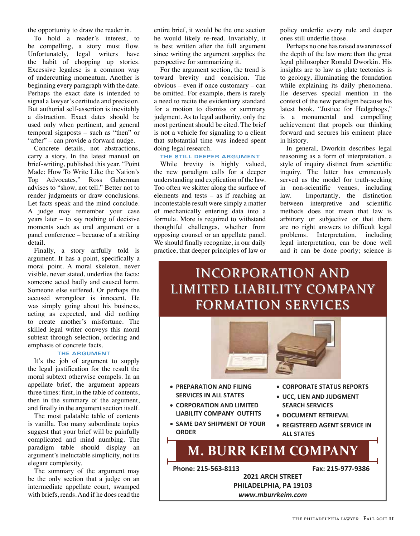the opportunity to draw the reader in.

To hold a reader's interest, to be compelling, a story must flow. Unfortunately, legal writers have the habit of chopping up stories. Excessive legalese is a common way of undercutting momentum. Another is beginning every paragraph with the date. Perhaps the exact date is intended to signal a lawyer's certitude and precision. But authorial self-assertion is inevitably a distraction. Exact dates should be used only when pertinent, and general temporal signposts – such as "then" or "after" – can provide a forward nudge.

Concrete details, not abstractions, carry a story. In the latest manual on brief-writing, published this year, "Point Made: How To Write Like the Nation's Top Advocates," Ross Guberman advises to "show, not tell." Better not to render judgments or draw conclusions. Let facts speak and the mind conclude. A judge may remember your case years later – to say nothing of decisive moments such as oral argument or a panel conference – because of a striking detail.

Finally, a story artfully told is argument. It has a point, specifically a moral point. A moral skeleton, never visible, never stated, underlies the facts: someone acted badly and caused harm. Someone else suffered. Or perhaps the accused wrongdoer is innocent. He was simply going about his business, acting as expected, and did nothing to create another's misfortune. The skilled legal writer conveys this moral subtext through selection, ordering and emphasis of concrete facts.

#### **THE ARGUMENT**

It's the job of argument to supply the legal justification for the result the moral subtext otherwise compels. In an appellate brief, the argument appears three times: first, in the table of contents, then in the summary of the argument, and finally in the argument section itself.

The most palatable table of contents is vanilla. Too many subordinate topics suggest that your brief will be painfully complicated and mind numbing. The paradigm table should display an argument's ineluctable simplicity, not its elegant complexity.

The summary of the argument may be the only section that a judge on an intermediate appellate court, swamped with briefs, reads. And if he does read the

entire brief, it would be the one section he would likely re-read. Invariably, it is best written after the full argument since writing the argument supplies the perspective for summarizing it.

For the argument section, the trend is toward brevity and concision. The obvious – even if once customary – can be omitted. For example, there is rarely a need to recite the evidentiary standard for a motion to dismiss or summary judgment. As to legal authority, only the most pertinent should be cited. The brief is not a vehicle for signaling to a client that substantial time was indeed spent doing legal research.

#### **THE STILL DEEPER ARGUMENT**

While brevity is highly valued, the new paradigm calls for a deeper understanding and explication of the law. Too often we skitter along the surface of elements and tests – as if reaching an incontestable result were simply a matter of mechanically entering data into a formula. More is required to withstand thoughtful challenges, whether from opposing counsel or an appellate panel. We should finally recognize, in our daily practice, that deeper principles of law or

policy underlie every rule and deeper ones still underlie those.

Perhaps no one has raised awareness of the depth of the law more than the great legal philosopher Ronald Dworkin. His insights are to law as plate tectonics is to geology, illuminating the foundation while explaining its daily phenomena. He deserves special mention in the context of the new paradigm because his latest book, "Justice for Hedgehogs," is a monumental and compelling achievement that propels our thinking forward and secures his eminent place in history.

In general, Dworkin describes legal reasoning as a form of interpretation, a style of inquiry distinct from scientific inquiry. The latter has erroneously served as the model for truth-seeking in non-scientific venues, including law. Importantly, the distinction between interpretive and scientific methods does not mean that law is arbitrary or subjective or that there are no right answers to difficult legal problems. Interpretation, including legal interpretation, can be done well and it can be done poorly; science is

## INCORPORATION AND LIMITED LIABILITY COMPANY FORMATION SERVICES